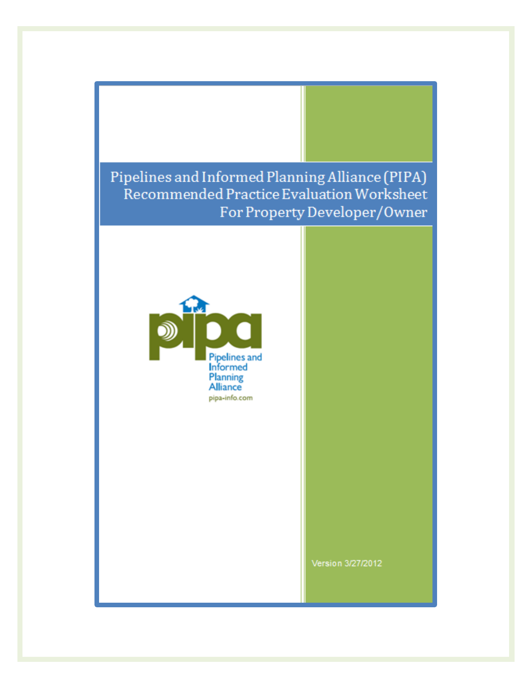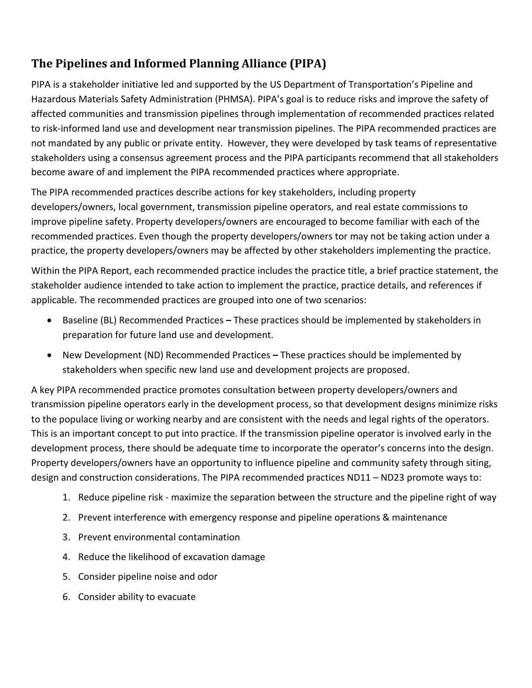#### **The Pipelines and Informed Planning Alliance (PIPA)**

PIPA is a stakeholder initiative led and supported by the US Department of Transportation's Pipeline and Hazardous Materials Safety Administration (PHMSA). PIPA's goal is to reduce risks and improve the safety of affected communities and transmission pipelines through implementation of recommended practices related to risk-informed land use and development near transmission pipelines. The PIPA recommended practices are not mandated by any public or private entity. However, they were developed by task teams of representative stakeholders using a consensus agreement process and the PIPA participants recommend that all stakeholders become aware of and implement the PIPA recommended practices where appropriate.

The PIPA recommended practices describe actions for key stakeholders, including property developers/owners, local government, transmission pipeline operators, and real estate commissions to improve pipeline safety. Property developers/owners are encouraged to become familiar with each of the recommended practices. Even though the property developers/owners tor may not be taking action under a practice, the property developers/owners may be affected by other stakeholders implementing the practice.

Within the PIPA Report, each recommended practice includes the practice title, a brief practice statement, the stakeholder audience intended to take action to implement the practice, practice details, and references if applicable. The recommended practices are grouped into one of two scenarios:

- Baseline (BL) Recommended Practices **–** These practices should be implemented by stakeholders in preparation for future land use and development.
- New Development (ND) Recommended Practices *–* These practices should be implemented by stakeholders when specific new land use and development projects are proposed.

A key PIPA recommended practice promotes consultation between property developers/owners and transmission pipeline operators early in the development process, so that development designs minimize risks to the populace living or working nearby and are consistent with the needs and legal rights of the operators. This is an important concept to put into practice. If the transmission pipeline operator is involved early in the development process, there should be adequate time to incorporate the operator's concerns into the design. Property developers/owners have an opportunity to influence pipeline and community safety through siting, design and construction considerations. The PIPA recommended practices ND11 – ND23 promote ways to:

- 1. Reduce pipeline risk maximize the separation between the structure and the pipeline right of way
- 2. Prevent interference with emergency response and pipeline operations & maintenance
- 3. Prevent environmental contamination
- 4. Reduce the likelihood of excavation damage
- 5. Consider pipeline noise and odor
- 6. Consider ability to evacuate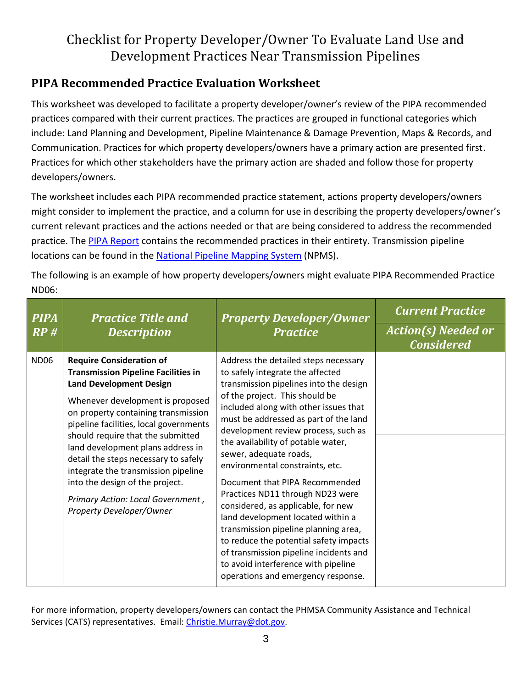#### **PIPA Recommended Practice Evaluation Worksheet**

This worksheet was developed to facilitate a property developer/owner's review of the PIPA recommended practices compared with their current practices. The practices are grouped in functional categories which include: Land Planning and Development, Pipeline Maintenance & Damage Prevention, Maps & Records, and Communication. Practices for which property developers/owners have a primary action are presented first. Practices for which other stakeholders have the primary action are shaded and follow those for property developers/owners.

The worksheet includes each PIPA recommended practice statement, actions property developers/owners might consider to implement the practice, and a column for use in describing the property developers/owner's current relevant practices and the actions needed or that are being considered to address the recommended practice. Th[e PIPA Report](http://primis.phmsa.dot.gov/comm/pipa/LandUsePlanning.htm?nocache=1117) contains the recommended practices in their entirety. Transmission pipeline locations can be found in the [National Pipeline Mapping System](https://www.npms.phmsa.dot.gov/) (NPMS).

The following is an example of how property developers/owners might evaluate PIPA Recommended Practice ND06:

| <b>PIPA</b><br>RP# | <b>Practice Title and</b><br><b>Description</b>                                                                                                                                                                                                                                                                                                                                                                                                                                                   | <b>Property Developer/Owner</b><br><b>Practice</b>                                                                                                                                                                                                                                                                                                                                                                                                                                                                                                                                                                                                                                                                                         | <b>Current Practice</b><br><b>Action(s) Needed or</b><br><b>Considered</b> |
|--------------------|---------------------------------------------------------------------------------------------------------------------------------------------------------------------------------------------------------------------------------------------------------------------------------------------------------------------------------------------------------------------------------------------------------------------------------------------------------------------------------------------------|--------------------------------------------------------------------------------------------------------------------------------------------------------------------------------------------------------------------------------------------------------------------------------------------------------------------------------------------------------------------------------------------------------------------------------------------------------------------------------------------------------------------------------------------------------------------------------------------------------------------------------------------------------------------------------------------------------------------------------------------|----------------------------------------------------------------------------|
| <b>ND06</b>        | <b>Require Consideration of</b><br><b>Transmission Pipeline Facilities in</b><br><b>Land Development Design</b><br>Whenever development is proposed<br>on property containing transmission<br>pipeline facilities, local governments<br>should require that the submitted<br>land development plans address in<br>detail the steps necessary to safely<br>integrate the transmission pipeline<br>into the design of the project.<br>Primary Action: Local Government,<br>Property Developer/Owner | Address the detailed steps necessary<br>to safely integrate the affected<br>transmission pipelines into the design<br>of the project. This should be<br>included along with other issues that<br>must be addressed as part of the land<br>development review process, such as<br>the availability of potable water,<br>sewer, adequate roads,<br>environmental constraints, etc.<br>Document that PIPA Recommended<br>Practices ND11 through ND23 were<br>considered, as applicable, for new<br>land development located within a<br>transmission pipeline planning area,<br>to reduce the potential safety impacts<br>of transmission pipeline incidents and<br>to avoid interference with pipeline<br>operations and emergency response. |                                                                            |

For more information, property developers/owners can contact the [PHMSA Community Assistance and Technical](http://primis.phmsa.dot.gov/comm/CATS.htm?nocache=4912)  [Services \(CATS\) representatives.](http://primis.phmsa.dot.gov/comm/CATS.htm?nocache=4912) Email: [Christie.Murray@dot.gov.](mailto:Christie.Murray@dot.gov)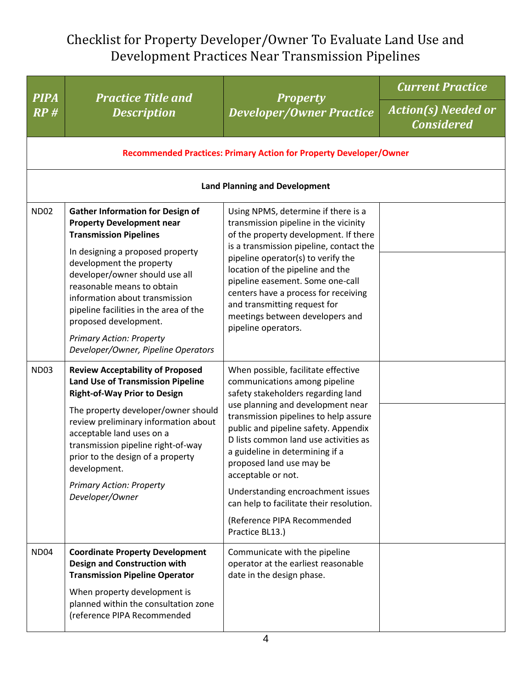|                    | <b>Practice Title and</b><br><b>Description</b>                                                                                                                                                                                                                                                                                                                                                                             | <b>Property</b><br><b>Developer/Owner Practice</b>                                                                                                                                                                                                                                                                                                                                                                                                                                                | <b>Current Practice</b>                         |  |  |
|--------------------|-----------------------------------------------------------------------------------------------------------------------------------------------------------------------------------------------------------------------------------------------------------------------------------------------------------------------------------------------------------------------------------------------------------------------------|---------------------------------------------------------------------------------------------------------------------------------------------------------------------------------------------------------------------------------------------------------------------------------------------------------------------------------------------------------------------------------------------------------------------------------------------------------------------------------------------------|-------------------------------------------------|--|--|
| <b>PIPA</b><br>RP# |                                                                                                                                                                                                                                                                                                                                                                                                                             |                                                                                                                                                                                                                                                                                                                                                                                                                                                                                                   | <b>Action(s) Needed or</b><br><b>Considered</b> |  |  |
|                    |                                                                                                                                                                                                                                                                                                                                                                                                                             | Recommended Practices: Primary Action for Property Developer/Owner                                                                                                                                                                                                                                                                                                                                                                                                                                |                                                 |  |  |
|                    | <b>Land Planning and Development</b>                                                                                                                                                                                                                                                                                                                                                                                        |                                                                                                                                                                                                                                                                                                                                                                                                                                                                                                   |                                                 |  |  |
| <b>ND02</b>        | <b>Gather Information for Design of</b><br><b>Property Development near</b><br><b>Transmission Pipelines</b><br>In designing a proposed property<br>development the property<br>developer/owner should use all<br>reasonable means to obtain<br>information about transmission<br>pipeline facilities in the area of the<br>proposed development.<br><b>Primary Action: Property</b><br>Developer/Owner, Pipeline Operators | Using NPMS, determine if there is a<br>transmission pipeline in the vicinity<br>of the property development. If there<br>is a transmission pipeline, contact the<br>pipeline operator(s) to verify the<br>location of the pipeline and the<br>pipeline easement. Some one-call<br>centers have a process for receiving<br>and transmitting request for<br>meetings between developers and<br>pipeline operators.                                                                                  |                                                 |  |  |
| <b>ND03</b>        | <b>Review Acceptability of Proposed</b><br><b>Land Use of Transmission Pipeline</b><br><b>Right-of-Way Prior to Design</b><br>The property developer/owner should<br>review preliminary information about<br>acceptable land uses on a<br>transmission pipeline right-of-way<br>prior to the design of a property<br>development.<br><b>Primary Action: Property</b><br>Developer/Owner                                     | When possible, facilitate effective<br>communications among pipeline<br>safety stakeholders regarding land<br>use planning and development near<br>transmission pipelines to help assure<br>public and pipeline safety. Appendix<br>D lists common land use activities as<br>a guideline in determining if a<br>proposed land use may be<br>acceptable or not.<br>Understanding encroachment issues<br>can help to facilitate their resolution.<br>(Reference PIPA Recommended<br>Practice BL13.) |                                                 |  |  |
| <b>ND04</b>        | <b>Coordinate Property Development</b><br><b>Design and Construction with</b><br><b>Transmission Pipeline Operator</b><br>When property development is<br>planned within the consultation zone<br>(reference PIPA Recommended                                                                                                                                                                                               | Communicate with the pipeline<br>operator at the earliest reasonable<br>date in the design phase.                                                                                                                                                                                                                                                                                                                                                                                                 |                                                 |  |  |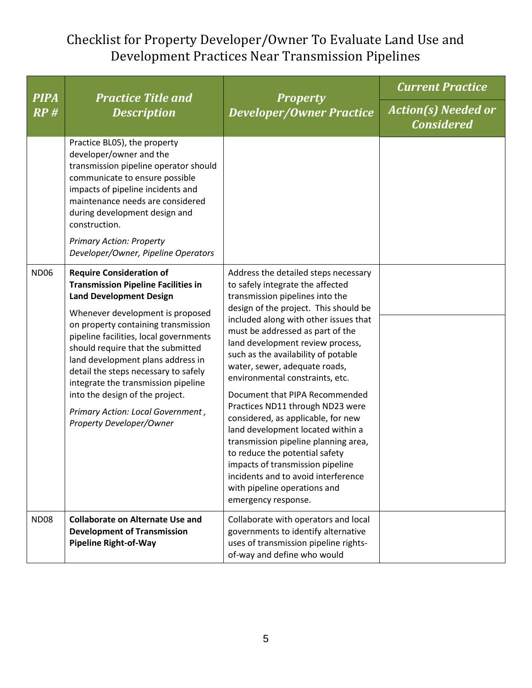| <b>PIPA</b> | <b>Practice Title and</b><br><b>Description</b>                                                                                                                                                                                                                                                                                                                                                                                                                                                   | <b>Property</b><br><b>Developer/Owner Practice</b>                                                                                                                                                                                                                                                                                                                                                                                                                                                                                                                                                                                                                                                                                            | <b>Current Practice</b>                         |
|-------------|---------------------------------------------------------------------------------------------------------------------------------------------------------------------------------------------------------------------------------------------------------------------------------------------------------------------------------------------------------------------------------------------------------------------------------------------------------------------------------------------------|-----------------------------------------------------------------------------------------------------------------------------------------------------------------------------------------------------------------------------------------------------------------------------------------------------------------------------------------------------------------------------------------------------------------------------------------------------------------------------------------------------------------------------------------------------------------------------------------------------------------------------------------------------------------------------------------------------------------------------------------------|-------------------------------------------------|
| RP#         |                                                                                                                                                                                                                                                                                                                                                                                                                                                                                                   |                                                                                                                                                                                                                                                                                                                                                                                                                                                                                                                                                                                                                                                                                                                                               | <b>Action(s) Needed or</b><br><b>Considered</b> |
|             | Practice BL05), the property<br>developer/owner and the<br>transmission pipeline operator should<br>communicate to ensure possible<br>impacts of pipeline incidents and<br>maintenance needs are considered<br>during development design and<br>construction.<br><b>Primary Action: Property</b><br>Developer/Owner, Pipeline Operators                                                                                                                                                           |                                                                                                                                                                                                                                                                                                                                                                                                                                                                                                                                                                                                                                                                                                                                               |                                                 |
| <b>ND06</b> | <b>Require Consideration of</b><br><b>Transmission Pipeline Facilities in</b><br><b>Land Development Design</b><br>Whenever development is proposed<br>on property containing transmission<br>pipeline facilities, local governments<br>should require that the submitted<br>land development plans address in<br>detail the steps necessary to safely<br>integrate the transmission pipeline<br>into the design of the project.<br>Primary Action: Local Government,<br>Property Developer/Owner | Address the detailed steps necessary<br>to safely integrate the affected<br>transmission pipelines into the<br>design of the project. This should be<br>included along with other issues that<br>must be addressed as part of the<br>land development review process,<br>such as the availability of potable<br>water, sewer, adequate roads,<br>environmental constraints, etc.<br>Document that PIPA Recommended<br>Practices ND11 through ND23 were<br>considered, as applicable, for new<br>land development located within a<br>transmission pipeline planning area,<br>to reduce the potential safety<br>impacts of transmission pipeline<br>incidents and to avoid interference<br>with pipeline operations and<br>emergency response. |                                                 |
| <b>ND08</b> | <b>Collaborate on Alternate Use and</b><br><b>Development of Transmission</b><br><b>Pipeline Right-of-Way</b>                                                                                                                                                                                                                                                                                                                                                                                     | Collaborate with operators and local<br>governments to identify alternative<br>uses of transmission pipeline rights-<br>of-way and define who would                                                                                                                                                                                                                                                                                                                                                                                                                                                                                                                                                                                           |                                                 |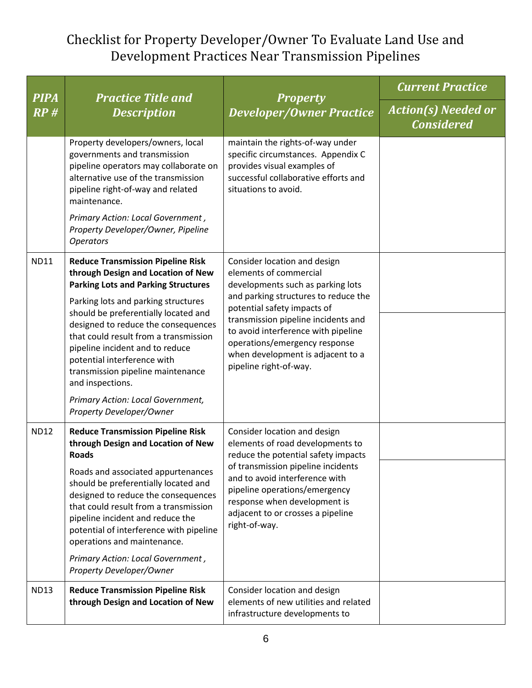| <b>PIPA</b> | <b>Practice Title and</b><br><b>Description</b>                                                                                                                                                                                                                                             | <b>Property</b><br><b>Developer/Owner Practice</b>                                                                                                                                                                                               | <b>Current Practice</b>                         |
|-------------|---------------------------------------------------------------------------------------------------------------------------------------------------------------------------------------------------------------------------------------------------------------------------------------------|--------------------------------------------------------------------------------------------------------------------------------------------------------------------------------------------------------------------------------------------------|-------------------------------------------------|
| RP#         |                                                                                                                                                                                                                                                                                             |                                                                                                                                                                                                                                                  | <b>Action(s) Needed or</b><br><b>Considered</b> |
|             | Property developers/owners, local<br>governments and transmission<br>pipeline operators may collaborate on<br>alternative use of the transmission<br>pipeline right-of-way and related<br>maintenance.                                                                                      | maintain the rights-of-way under<br>specific circumstances. Appendix C<br>provides visual examples of<br>successful collaborative efforts and<br>situations to avoid.                                                                            |                                                 |
|             | Primary Action: Local Government,<br>Property Developer/Owner, Pipeline<br><b>Operators</b>                                                                                                                                                                                                 |                                                                                                                                                                                                                                                  |                                                 |
| <b>ND11</b> | <b>Reduce Transmission Pipeline Risk</b><br>through Design and Location of New<br><b>Parking Lots and Parking Structures</b><br>Parking lots and parking structures<br>should be preferentially located and<br>designed to reduce the consequences<br>that could result from a transmission | Consider location and design<br>elements of commercial<br>developments such as parking lots<br>and parking structures to reduce the<br>potential safety impacts of<br>transmission pipeline incidents and<br>to avoid interference with pipeline |                                                 |
|             | pipeline incident and to reduce<br>potential interference with<br>transmission pipeline maintenance<br>and inspections.<br>Primary Action: Local Government,                                                                                                                                | operations/emergency response<br>when development is adjacent to a<br>pipeline right-of-way.                                                                                                                                                     |                                                 |
| <b>ND12</b> | Property Developer/Owner<br><b>Reduce Transmission Pipeline Risk</b><br>through Design and Location of New<br><b>Roads</b>                                                                                                                                                                  | Consider location and design<br>elements of road developments to                                                                                                                                                                                 |                                                 |
|             | Roads and associated appurtenances<br>should be preferentially located and<br>designed to reduce the consequences<br>that could result from a transmission<br>pipeline incident and reduce the<br>potential of interference with pipeline<br>operations and maintenance.                    | reduce the potential safety impacts<br>of transmission pipeline incidents<br>and to avoid interference with<br>pipeline operations/emergency<br>response when development is<br>adjacent to or crosses a pipeline<br>right-of-way.               |                                                 |
|             | Primary Action: Local Government,<br>Property Developer/Owner                                                                                                                                                                                                                               |                                                                                                                                                                                                                                                  |                                                 |
| <b>ND13</b> | <b>Reduce Transmission Pipeline Risk</b><br>through Design and Location of New                                                                                                                                                                                                              | Consider location and design<br>elements of new utilities and related<br>infrastructure developments to                                                                                                                                          |                                                 |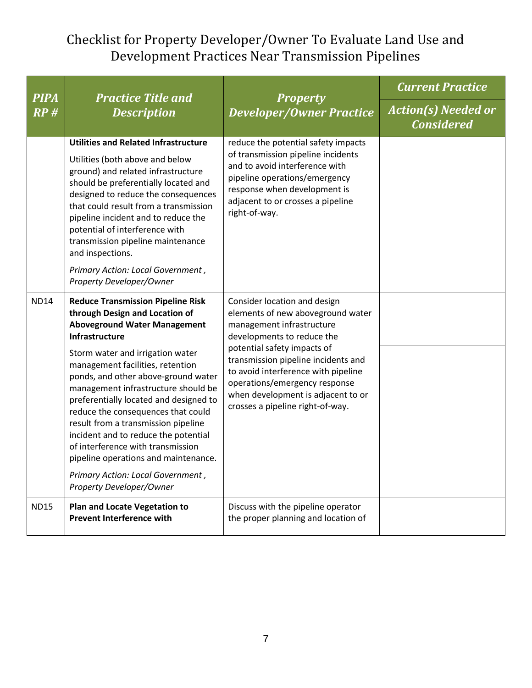| <b>PIPA</b> | <b>Practice Title and</b><br><b>Description</b>                                                                                                                                                                                                                                                                                                                                                                                                                                                                                                                                                               | <b>Property</b><br><b>Developer/Owner Practice</b>                                                                                                                                                                                                                                                                                                   | <b>Current Practice</b>                         |
|-------------|---------------------------------------------------------------------------------------------------------------------------------------------------------------------------------------------------------------------------------------------------------------------------------------------------------------------------------------------------------------------------------------------------------------------------------------------------------------------------------------------------------------------------------------------------------------------------------------------------------------|------------------------------------------------------------------------------------------------------------------------------------------------------------------------------------------------------------------------------------------------------------------------------------------------------------------------------------------------------|-------------------------------------------------|
| RP#         |                                                                                                                                                                                                                                                                                                                                                                                                                                                                                                                                                                                                               |                                                                                                                                                                                                                                                                                                                                                      | <b>Action(s) Needed or</b><br><b>Considered</b> |
|             | <b>Utilities and Related Infrastructure</b><br>Utilities (both above and below<br>ground) and related infrastructure<br>should be preferentially located and<br>designed to reduce the consequences<br>that could result from a transmission<br>pipeline incident and to reduce the<br>potential of interference with<br>transmission pipeline maintenance<br>and inspections.<br>Primary Action: Local Government,<br><b>Property Developer/Owner</b>                                                                                                                                                        | reduce the potential safety impacts<br>of transmission pipeline incidents<br>and to avoid interference with<br>pipeline operations/emergency<br>response when development is<br>adjacent to or crosses a pipeline<br>right-of-way.                                                                                                                   |                                                 |
| <b>ND14</b> | <b>Reduce Transmission Pipeline Risk</b><br>through Design and Location of<br><b>Aboveground Water Management</b><br><b>Infrastructure</b><br>Storm water and irrigation water<br>management facilities, retention<br>ponds, and other above-ground water<br>management infrastructure should be<br>preferentially located and designed to<br>reduce the consequences that could<br>result from a transmission pipeline<br>incident and to reduce the potential<br>of interference with transmission<br>pipeline operations and maintenance.<br>Primary Action: Local Government,<br>Property Developer/Owner | Consider location and design<br>elements of new aboveground water<br>management infrastructure<br>developments to reduce the<br>potential safety impacts of<br>transmission pipeline incidents and<br>to avoid interference with pipeline<br>operations/emergency response<br>when development is adjacent to or<br>crosses a pipeline right-of-way. |                                                 |
| <b>ND15</b> | Plan and Locate Vegetation to<br><b>Prevent Interference with</b>                                                                                                                                                                                                                                                                                                                                                                                                                                                                                                                                             | Discuss with the pipeline operator<br>the proper planning and location of                                                                                                                                                                                                                                                                            |                                                 |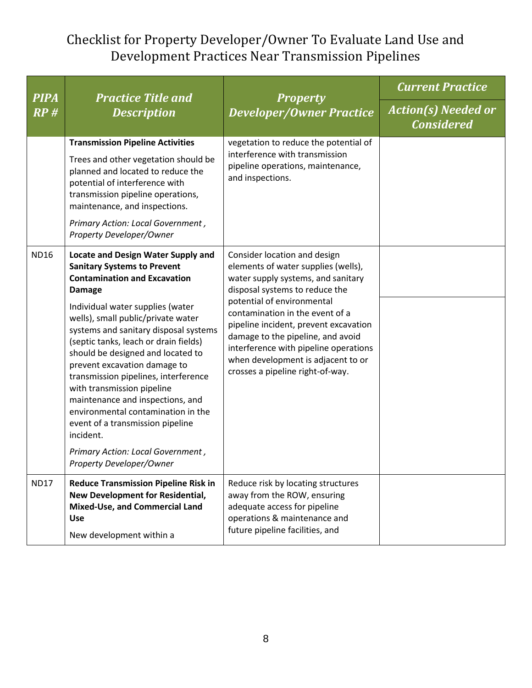| <b>PIPA</b> | <b>Practice Title and</b><br><b>Description</b>                                                                                                                                                                                                                                                                                                                                                                                                                                                                                                                                                                                            | <b>Property</b><br><b>Developer/Owner Practice</b>                                                                                                                                                                                                                                                                                                                                                            | <b>Current Practice</b>                         |
|-------------|--------------------------------------------------------------------------------------------------------------------------------------------------------------------------------------------------------------------------------------------------------------------------------------------------------------------------------------------------------------------------------------------------------------------------------------------------------------------------------------------------------------------------------------------------------------------------------------------------------------------------------------------|---------------------------------------------------------------------------------------------------------------------------------------------------------------------------------------------------------------------------------------------------------------------------------------------------------------------------------------------------------------------------------------------------------------|-------------------------------------------------|
| RP#         |                                                                                                                                                                                                                                                                                                                                                                                                                                                                                                                                                                                                                                            |                                                                                                                                                                                                                                                                                                                                                                                                               | <b>Action(s) Needed or</b><br><b>Considered</b> |
|             | <b>Transmission Pipeline Activities</b><br>Trees and other vegetation should be<br>planned and located to reduce the<br>potential of interference with<br>transmission pipeline operations,<br>maintenance, and inspections.<br>Primary Action: Local Government,<br>Property Developer/Owner                                                                                                                                                                                                                                                                                                                                              | vegetation to reduce the potential of<br>interference with transmission<br>pipeline operations, maintenance,<br>and inspections.                                                                                                                                                                                                                                                                              |                                                 |
| <b>ND16</b> | <b>Locate and Design Water Supply and</b><br><b>Sanitary Systems to Prevent</b><br><b>Contamination and Excavation</b><br><b>Damage</b><br>Individual water supplies (water<br>wells), small public/private water<br>systems and sanitary disposal systems<br>(septic tanks, leach or drain fields)<br>should be designed and located to<br>prevent excavation damage to<br>transmission pipelines, interference<br>with transmission pipeline<br>maintenance and inspections, and<br>environmental contamination in the<br>event of a transmission pipeline<br>incident.<br>Primary Action: Local Government,<br>Property Developer/Owner | Consider location and design<br>elements of water supplies (wells),<br>water supply systems, and sanitary<br>disposal systems to reduce the<br>potential of environmental<br>contamination in the event of a<br>pipeline incident, prevent excavation<br>damage to the pipeline, and avoid<br>interference with pipeline operations<br>when development is adjacent to or<br>crosses a pipeline right-of-way. |                                                 |
| <b>ND17</b> | <b>Reduce Transmission Pipeline Risk in</b><br><b>New Development for Residential,</b><br>Mixed-Use, and Commercial Land<br><b>Use</b><br>New development within a                                                                                                                                                                                                                                                                                                                                                                                                                                                                         | Reduce risk by locating structures<br>away from the ROW, ensuring<br>adequate access for pipeline<br>operations & maintenance and<br>future pipeline facilities, and                                                                                                                                                                                                                                          |                                                 |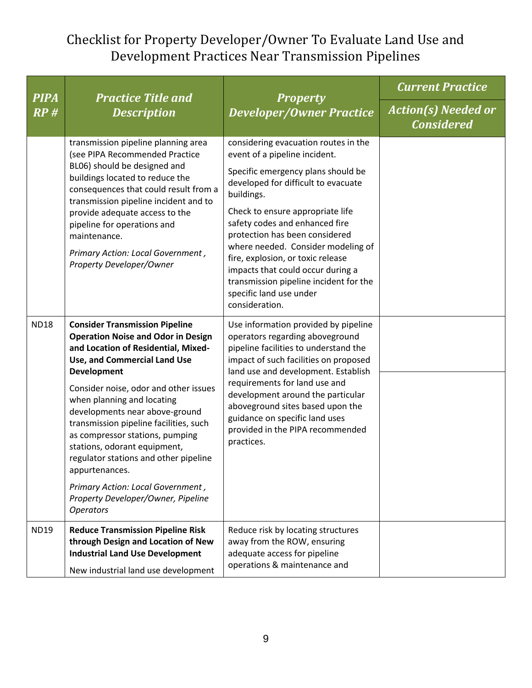| <b>PIPA</b> | <b>Practice Title and</b><br><b>Description</b>                                                                                                                                                                                                                                                                                                                                                                                                                                                                                                                 | <b>Property</b><br><b>Developer/Owner Practice</b>                                                                                                                                                                                                                                                                                                                                                                                                                              | <b>Current Practice</b>                         |
|-------------|-----------------------------------------------------------------------------------------------------------------------------------------------------------------------------------------------------------------------------------------------------------------------------------------------------------------------------------------------------------------------------------------------------------------------------------------------------------------------------------------------------------------------------------------------------------------|---------------------------------------------------------------------------------------------------------------------------------------------------------------------------------------------------------------------------------------------------------------------------------------------------------------------------------------------------------------------------------------------------------------------------------------------------------------------------------|-------------------------------------------------|
| RP#         |                                                                                                                                                                                                                                                                                                                                                                                                                                                                                                                                                                 |                                                                                                                                                                                                                                                                                                                                                                                                                                                                                 | <b>Action(s) Needed or</b><br><b>Considered</b> |
|             | transmission pipeline planning area<br>(see PIPA Recommended Practice<br>BL06) should be designed and<br>buildings located to reduce the<br>consequences that could result from a<br>transmission pipeline incident and to<br>provide adequate access to the<br>pipeline for operations and<br>maintenance.<br>Primary Action: Local Government,<br>Property Developer/Owner                                                                                                                                                                                    | considering evacuation routes in the<br>event of a pipeline incident.<br>Specific emergency plans should be<br>developed for difficult to evacuate<br>buildings.<br>Check to ensure appropriate life<br>safety codes and enhanced fire<br>protection has been considered<br>where needed. Consider modeling of<br>fire, explosion, or toxic release<br>impacts that could occur during a<br>transmission pipeline incident for the<br>specific land use under<br>consideration. |                                                 |
| <b>ND18</b> | <b>Consider Transmission Pipeline</b><br><b>Operation Noise and Odor in Design</b><br>and Location of Residential, Mixed-<br>Use, and Commercial Land Use<br><b>Development</b><br>Consider noise, odor and other issues<br>when planning and locating<br>developments near above-ground<br>transmission pipeline facilities, such<br>as compressor stations, pumping<br>stations, odorant equipment,<br>regulator stations and other pipeline<br>appurtenances.<br>Primary Action: Local Government,<br>Property Developer/Owner, Pipeline<br><b>Operators</b> | Use information provided by pipeline<br>operators regarding aboveground<br>pipeline facilities to understand the<br>impact of such facilities on proposed<br>land use and development. Establish<br>requirements for land use and<br>development around the particular<br>aboveground sites based upon the<br>guidance on specific land uses<br>provided in the PIPA recommended<br>practices.                                                                                  |                                                 |
| <b>ND19</b> | <b>Reduce Transmission Pipeline Risk</b><br>through Design and Location of New<br><b>Industrial Land Use Development</b><br>New industrial land use development                                                                                                                                                                                                                                                                                                                                                                                                 | Reduce risk by locating structures<br>away from the ROW, ensuring<br>adequate access for pipeline<br>operations & maintenance and                                                                                                                                                                                                                                                                                                                                               |                                                 |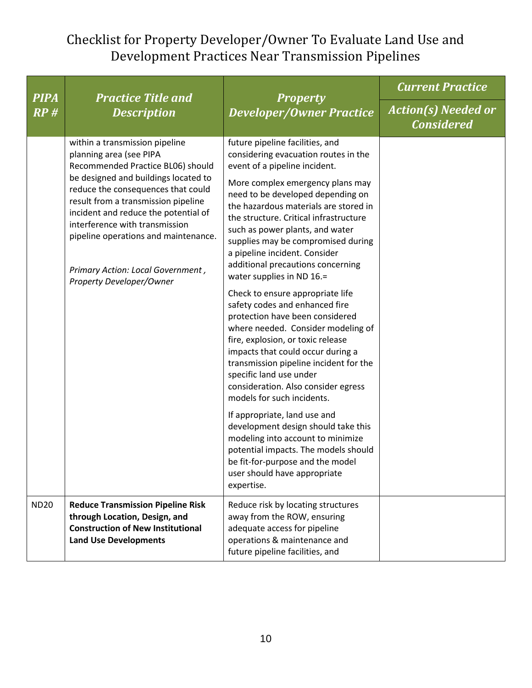| <b>PIPA</b> | <b>Practice Title and</b><br><b>Description</b>                                                                                                                                                                                                                          | <b>Property</b><br><b>Developer/Owner Practice</b>                                                                                                                                                                                                                                                                                                              | <b>Current Practice</b>                         |
|-------------|--------------------------------------------------------------------------------------------------------------------------------------------------------------------------------------------------------------------------------------------------------------------------|-----------------------------------------------------------------------------------------------------------------------------------------------------------------------------------------------------------------------------------------------------------------------------------------------------------------------------------------------------------------|-------------------------------------------------|
| RP#         |                                                                                                                                                                                                                                                                          |                                                                                                                                                                                                                                                                                                                                                                 | <b>Action(s) Needed or</b><br><b>Considered</b> |
|             | within a transmission pipeline<br>planning area (see PIPA<br>Recommended Practice BL06) should                                                                                                                                                                           | future pipeline facilities, and<br>considering evacuation routes in the<br>event of a pipeline incident.                                                                                                                                                                                                                                                        |                                                 |
|             | be designed and buildings located to<br>reduce the consequences that could<br>result from a transmission pipeline<br>incident and reduce the potential of<br>interference with transmission<br>pipeline operations and maintenance.<br>Primary Action: Local Government, | More complex emergency plans may<br>need to be developed depending on<br>the hazardous materials are stored in<br>the structure. Critical infrastructure<br>such as power plants, and water<br>supplies may be compromised during<br>a pipeline incident. Consider<br>additional precautions concerning<br>water supplies in ND 16.=                            |                                                 |
|             | Property Developer/Owner                                                                                                                                                                                                                                                 | Check to ensure appropriate life<br>safety codes and enhanced fire<br>protection have been considered<br>where needed. Consider modeling of<br>fire, explosion, or toxic release<br>impacts that could occur during a<br>transmission pipeline incident for the<br>specific land use under<br>consideration. Also consider egress<br>models for such incidents. |                                                 |
|             |                                                                                                                                                                                                                                                                          | If appropriate, land use and<br>development design should take this<br>modeling into account to minimize<br>potential impacts. The models should<br>be fit-for-purpose and the model<br>user should have appropriate<br>expertise.                                                                                                                              |                                                 |
| <b>ND20</b> | <b>Reduce Transmission Pipeline Risk</b><br>through Location, Design, and<br><b>Construction of New Institutional</b><br><b>Land Use Developments</b>                                                                                                                    | Reduce risk by locating structures<br>away from the ROW, ensuring<br>adequate access for pipeline<br>operations & maintenance and<br>future pipeline facilities, and                                                                                                                                                                                            |                                                 |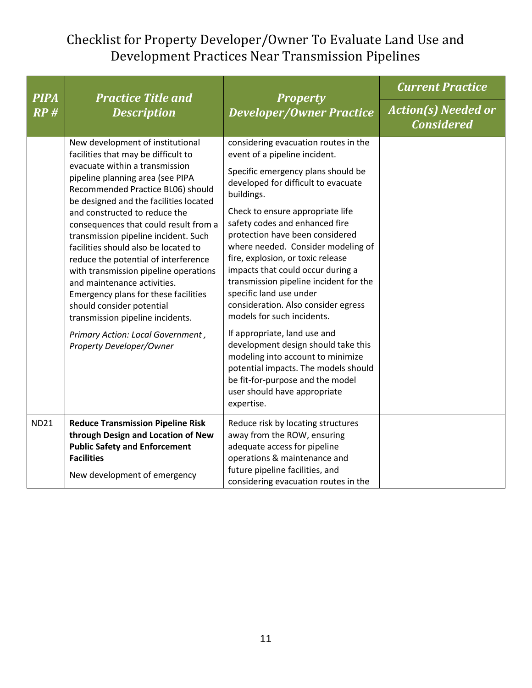| <b>PIPA</b> | <b>Practice Title and</b><br><b>Description</b>                                                                                                                                                                                                                                                                                                                                                                                                                                                                                                                                                                                                                                  | <b>Property</b><br><b>Developer/Owner Practice</b>                                                                                                                                                                                                                                                                                                                                                                                                                                                                                                                                                                                                                                                                                                                        | <b>Current Practice</b>                         |
|-------------|----------------------------------------------------------------------------------------------------------------------------------------------------------------------------------------------------------------------------------------------------------------------------------------------------------------------------------------------------------------------------------------------------------------------------------------------------------------------------------------------------------------------------------------------------------------------------------------------------------------------------------------------------------------------------------|---------------------------------------------------------------------------------------------------------------------------------------------------------------------------------------------------------------------------------------------------------------------------------------------------------------------------------------------------------------------------------------------------------------------------------------------------------------------------------------------------------------------------------------------------------------------------------------------------------------------------------------------------------------------------------------------------------------------------------------------------------------------------|-------------------------------------------------|
| RP#         |                                                                                                                                                                                                                                                                                                                                                                                                                                                                                                                                                                                                                                                                                  |                                                                                                                                                                                                                                                                                                                                                                                                                                                                                                                                                                                                                                                                                                                                                                           | <b>Action(s) Needed or</b><br><b>Considered</b> |
|             | New development of institutional<br>facilities that may be difficult to<br>evacuate within a transmission<br>pipeline planning area (see PIPA<br>Recommended Practice BL06) should<br>be designed and the facilities located<br>and constructed to reduce the<br>consequences that could result from a<br>transmission pipeline incident. Such<br>facilities should also be located to<br>reduce the potential of interference<br>with transmission pipeline operations<br>and maintenance activities.<br>Emergency plans for these facilities<br>should consider potential<br>transmission pipeline incidents.<br>Primary Action: Local Government,<br>Property Developer/Owner | considering evacuation routes in the<br>event of a pipeline incident.<br>Specific emergency plans should be<br>developed for difficult to evacuate<br>buildings.<br>Check to ensure appropriate life<br>safety codes and enhanced fire<br>protection have been considered<br>where needed. Consider modeling of<br>fire, explosion, or toxic release<br>impacts that could occur during a<br>transmission pipeline incident for the<br>specific land use under<br>consideration. Also consider egress<br>models for such incidents.<br>If appropriate, land use and<br>development design should take this<br>modeling into account to minimize<br>potential impacts. The models should<br>be fit-for-purpose and the model<br>user should have appropriate<br>expertise. |                                                 |
| <b>ND21</b> | <b>Reduce Transmission Pipeline Risk</b><br>through Design and Location of New<br><b>Public Safety and Enforcement</b><br><b>Facilities</b><br>New development of emergency                                                                                                                                                                                                                                                                                                                                                                                                                                                                                                      | Reduce risk by locating structures<br>away from the ROW, ensuring<br>adequate access for pipeline<br>operations & maintenance and<br>future pipeline facilities, and<br>considering evacuation routes in the                                                                                                                                                                                                                                                                                                                                                                                                                                                                                                                                                              |                                                 |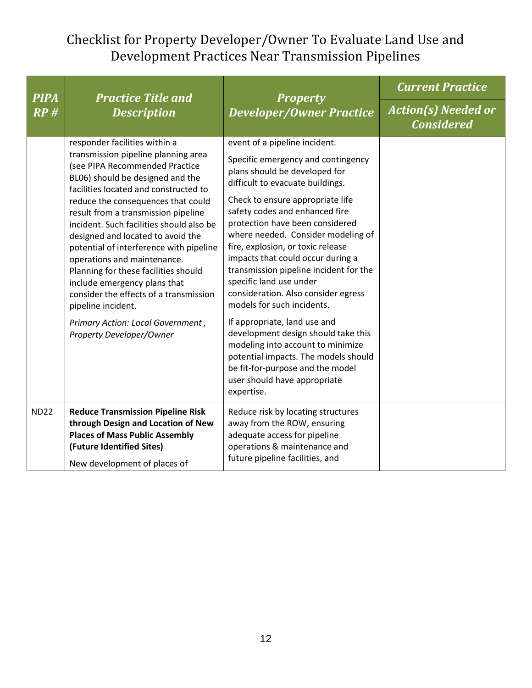| <b>PIPA</b> | <b>Practice Title and</b><br><b>Description</b>                                                                                                                                                                                                                                                                                                                                                                                                                                                                                                                                                                                      |                                                                                                                                                                                                                                                                                                                                                                                                                                                                                                                                                                                                                                                                                                                                                   | <b>Current Practice</b>                         |
|-------------|--------------------------------------------------------------------------------------------------------------------------------------------------------------------------------------------------------------------------------------------------------------------------------------------------------------------------------------------------------------------------------------------------------------------------------------------------------------------------------------------------------------------------------------------------------------------------------------------------------------------------------------|---------------------------------------------------------------------------------------------------------------------------------------------------------------------------------------------------------------------------------------------------------------------------------------------------------------------------------------------------------------------------------------------------------------------------------------------------------------------------------------------------------------------------------------------------------------------------------------------------------------------------------------------------------------------------------------------------------------------------------------------------|-------------------------------------------------|
| RP#         |                                                                                                                                                                                                                                                                                                                                                                                                                                                                                                                                                                                                                                      | <b>Property</b><br><b>Developer/Owner Practice</b>                                                                                                                                                                                                                                                                                                                                                                                                                                                                                                                                                                                                                                                                                                | <b>Action(s) Needed or</b><br><b>Considered</b> |
|             | responder facilities within a<br>transmission pipeline planning area<br>(see PIPA Recommended Practice<br>BL06) should be designed and the<br>facilities located and constructed to<br>reduce the consequences that could<br>result from a transmission pipeline<br>incident. Such facilities should also be<br>designed and located to avoid the<br>potential of interference with pipeline<br>operations and maintenance.<br>Planning for these facilities should<br>include emergency plans that<br>consider the effects of a transmission<br>pipeline incident.<br>Primary Action: Local Government,<br>Property Developer/Owner | event of a pipeline incident.<br>Specific emergency and contingency<br>plans should be developed for<br>difficult to evacuate buildings.<br>Check to ensure appropriate life<br>safety codes and enhanced fire<br>protection have been considered<br>where needed. Consider modeling of<br>fire, explosion, or toxic release<br>impacts that could occur during a<br>transmission pipeline incident for the<br>specific land use under<br>consideration. Also consider egress<br>models for such incidents.<br>If appropriate, land use and<br>development design should take this<br>modeling into account to minimize<br>potential impacts. The models should<br>be fit-for-purpose and the model<br>user should have appropriate<br>expertise. |                                                 |
| <b>ND22</b> | <b>Reduce Transmission Pipeline Risk</b><br>through Design and Location of New<br><b>Places of Mass Public Assembly</b><br>(Future Identified Sites)<br>New development of places of                                                                                                                                                                                                                                                                                                                                                                                                                                                 | Reduce risk by locating structures<br>away from the ROW, ensuring<br>adequate access for pipeline<br>operations & maintenance and<br>future pipeline facilities, and                                                                                                                                                                                                                                                                                                                                                                                                                                                                                                                                                                              |                                                 |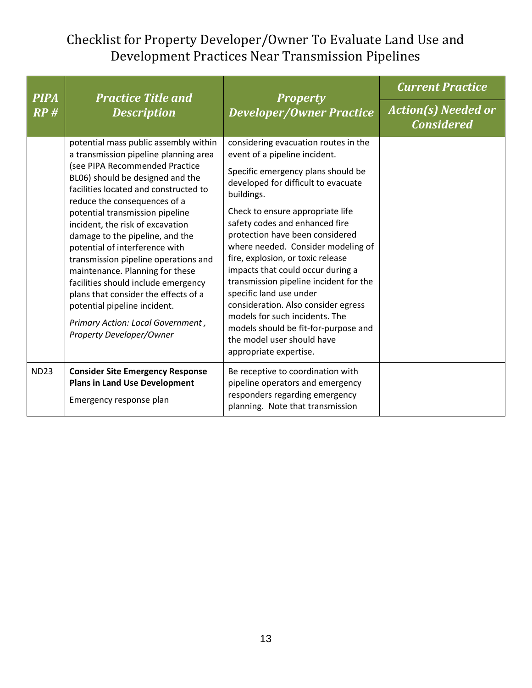| <b>PIPA</b> | <b>Practice Title and</b><br><b>Description</b>                                                                                                                                                                                                                                                                                                                                                                                                                                                                                                                                                                                      | <b>Property</b>                                                                                                                                                                                                                                                                                                                                                                                                                                                                                                                                                                                                                         | <b>Current Practice</b>                         |
|-------------|--------------------------------------------------------------------------------------------------------------------------------------------------------------------------------------------------------------------------------------------------------------------------------------------------------------------------------------------------------------------------------------------------------------------------------------------------------------------------------------------------------------------------------------------------------------------------------------------------------------------------------------|-----------------------------------------------------------------------------------------------------------------------------------------------------------------------------------------------------------------------------------------------------------------------------------------------------------------------------------------------------------------------------------------------------------------------------------------------------------------------------------------------------------------------------------------------------------------------------------------------------------------------------------------|-------------------------------------------------|
| RP#         |                                                                                                                                                                                                                                                                                                                                                                                                                                                                                                                                                                                                                                      | <b>Developer/Owner Practice</b>                                                                                                                                                                                                                                                                                                                                                                                                                                                                                                                                                                                                         | <b>Action(s) Needed or</b><br><b>Considered</b> |
|             | potential mass public assembly within<br>a transmission pipeline planning area<br>(see PIPA Recommended Practice<br>BL06) should be designed and the<br>facilities located and constructed to<br>reduce the consequences of a<br>potential transmission pipeline<br>incident, the risk of excavation<br>damage to the pipeline, and the<br>potential of interference with<br>transmission pipeline operations and<br>maintenance. Planning for these<br>facilities should include emergency<br>plans that consider the effects of a<br>potential pipeline incident.<br>Primary Action: Local Government,<br>Property Developer/Owner | considering evacuation routes in the<br>event of a pipeline incident.<br>Specific emergency plans should be<br>developed for difficult to evacuate<br>buildings.<br>Check to ensure appropriate life<br>safety codes and enhanced fire<br>protection have been considered<br>where needed. Consider modeling of<br>fire, explosion, or toxic release<br>impacts that could occur during a<br>transmission pipeline incident for the<br>specific land use under<br>consideration. Also consider egress<br>models for such incidents. The<br>models should be fit-for-purpose and<br>the model user should have<br>appropriate expertise. |                                                 |
| <b>ND23</b> | <b>Consider Site Emergency Response</b><br><b>Plans in Land Use Development</b><br>Emergency response plan                                                                                                                                                                                                                                                                                                                                                                                                                                                                                                                           | Be receptive to coordination with<br>pipeline operators and emergency<br>responders regarding emergency<br>planning. Note that transmission                                                                                                                                                                                                                                                                                                                                                                                                                                                                                             |                                                 |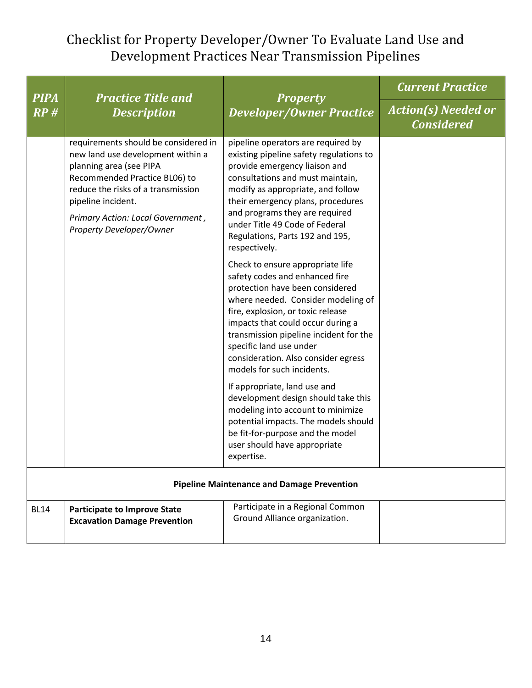| <b>PIPA</b>                                       | <b>Practice Title and</b><br><b>Description</b>                                                                                                                                                                                                                    | <b>Property</b><br><b>Developer/Owner Practice</b>                                                                                                                                                                                                                                                                                                              | <b>Current Practice</b>                         |
|---------------------------------------------------|--------------------------------------------------------------------------------------------------------------------------------------------------------------------------------------------------------------------------------------------------------------------|-----------------------------------------------------------------------------------------------------------------------------------------------------------------------------------------------------------------------------------------------------------------------------------------------------------------------------------------------------------------|-------------------------------------------------|
| RP #                                              |                                                                                                                                                                                                                                                                    |                                                                                                                                                                                                                                                                                                                                                                 | <b>Action(s) Needed or</b><br><b>Considered</b> |
|                                                   | requirements should be considered in<br>new land use development within a<br>planning area (see PIPA<br>Recommended Practice BL06) to<br>reduce the risks of a transmission<br>pipeline incident.<br>Primary Action: Local Government,<br>Property Developer/Owner | pipeline operators are required by<br>existing pipeline safety regulations to<br>provide emergency liaison and<br>consultations and must maintain,<br>modify as appropriate, and follow<br>their emergency plans, procedures<br>and programs they are required<br>under Title 49 Code of Federal<br>Regulations, Parts 192 and 195,<br>respectively.            |                                                 |
|                                                   |                                                                                                                                                                                                                                                                    | Check to ensure appropriate life<br>safety codes and enhanced fire<br>protection have been considered<br>where needed. Consider modeling of<br>fire, explosion, or toxic release<br>impacts that could occur during a<br>transmission pipeline incident for the<br>specific land use under<br>consideration. Also consider egress<br>models for such incidents. |                                                 |
|                                                   |                                                                                                                                                                                                                                                                    | If appropriate, land use and<br>development design should take this<br>modeling into account to minimize<br>potential impacts. The models should<br>be fit-for-purpose and the model<br>user should have appropriate<br>expertise.                                                                                                                              |                                                 |
| <b>Pipeline Maintenance and Damage Prevention</b> |                                                                                                                                                                                                                                                                    |                                                                                                                                                                                                                                                                                                                                                                 |                                                 |
| <b>BL14</b>                                       | <b>Participate to Improve State</b><br><b>Excavation Damage Prevention</b>                                                                                                                                                                                         | Participate in a Regional Common<br>Ground Alliance organization.                                                                                                                                                                                                                                                                                               |                                                 |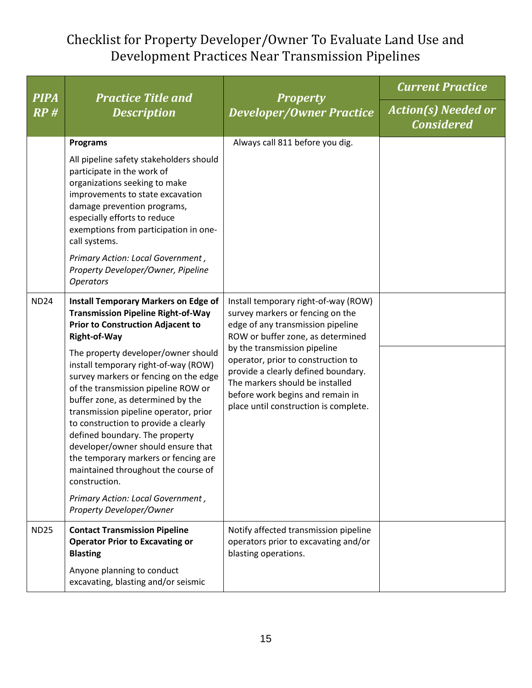| <b>PIPA</b> | <b>Practice Title and</b><br><b>Description</b>                                                                                                                                                                                                                                                                                                                                                                                                                                                                                                                                                                                                                                           | <b>Property</b><br><b>Developer/Owner Practice</b>                                                                                                                                                                                                                                                                                                                              | <b>Current Practice</b>                         |
|-------------|-------------------------------------------------------------------------------------------------------------------------------------------------------------------------------------------------------------------------------------------------------------------------------------------------------------------------------------------------------------------------------------------------------------------------------------------------------------------------------------------------------------------------------------------------------------------------------------------------------------------------------------------------------------------------------------------|---------------------------------------------------------------------------------------------------------------------------------------------------------------------------------------------------------------------------------------------------------------------------------------------------------------------------------------------------------------------------------|-------------------------------------------------|
| RP#         |                                                                                                                                                                                                                                                                                                                                                                                                                                                                                                                                                                                                                                                                                           |                                                                                                                                                                                                                                                                                                                                                                                 | <b>Action(s) Needed or</b><br><b>Considered</b> |
|             | <b>Programs</b><br>All pipeline safety stakeholders should<br>participate in the work of<br>organizations seeking to make<br>improvements to state excavation<br>damage prevention programs,<br>especially efforts to reduce<br>exemptions from participation in one-<br>call systems.<br>Primary Action: Local Government,<br>Property Developer/Owner, Pipeline<br><b>Operators</b>                                                                                                                                                                                                                                                                                                     | Always call 811 before you dig.                                                                                                                                                                                                                                                                                                                                                 |                                                 |
| <b>ND24</b> | <b>Install Temporary Markers on Edge of</b><br><b>Transmission Pipeline Right-of-Way</b><br><b>Prior to Construction Adjacent to</b><br><b>Right-of-Way</b><br>The property developer/owner should<br>install temporary right-of-way (ROW)<br>survey markers or fencing on the edge<br>of the transmission pipeline ROW or<br>buffer zone, as determined by the<br>transmission pipeline operator, prior<br>to construction to provide a clearly<br>defined boundary. The property<br>developer/owner should ensure that<br>the temporary markers or fencing are<br>maintained throughout the course of<br>construction.<br>Primary Action: Local Government,<br>Property Developer/Owner | Install temporary right-of-way (ROW)<br>survey markers or fencing on the<br>edge of any transmission pipeline<br>ROW or buffer zone, as determined<br>by the transmission pipeline<br>operator, prior to construction to<br>provide a clearly defined boundary.<br>The markers should be installed<br>before work begins and remain in<br>place until construction is complete. |                                                 |
| <b>ND25</b> | <b>Contact Transmission Pipeline</b><br><b>Operator Prior to Excavating or</b><br><b>Blasting</b><br>Anyone planning to conduct<br>excavating, blasting and/or seismic                                                                                                                                                                                                                                                                                                                                                                                                                                                                                                                    | Notify affected transmission pipeline<br>operators prior to excavating and/or<br>blasting operations.                                                                                                                                                                                                                                                                           |                                                 |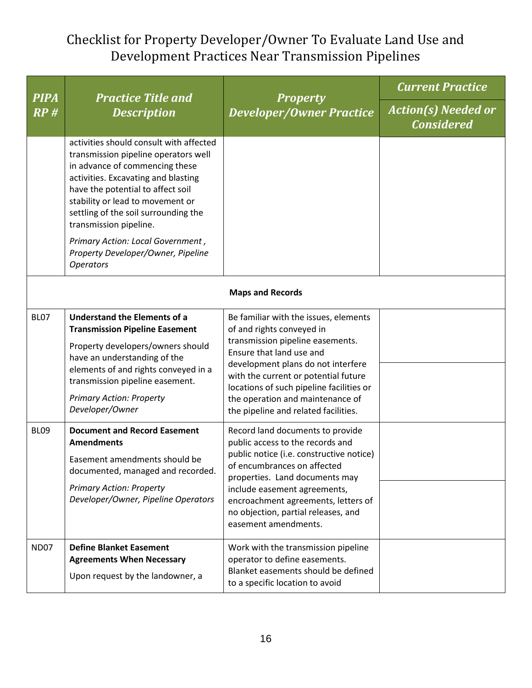| <b>PIPA</b>      | <b>Practice Title and</b>                                                                                                                                                                                                                                                                           | <b>Property</b><br><b>Developer/Owner Practice</b>                                                                                                                                                                                                                                                                                       | <b>Current Practice</b>                         |  |  |
|------------------|-----------------------------------------------------------------------------------------------------------------------------------------------------------------------------------------------------------------------------------------------------------------------------------------------------|------------------------------------------------------------------------------------------------------------------------------------------------------------------------------------------------------------------------------------------------------------------------------------------------------------------------------------------|-------------------------------------------------|--|--|
| RP#              | <b>Description</b>                                                                                                                                                                                                                                                                                  |                                                                                                                                                                                                                                                                                                                                          | <b>Action(s) Needed or</b><br><b>Considered</b> |  |  |
|                  | activities should consult with affected<br>transmission pipeline operators well<br>in advance of commencing these<br>activities. Excavating and blasting<br>have the potential to affect soil<br>stability or lead to movement or<br>settling of the soil surrounding the<br>transmission pipeline. |                                                                                                                                                                                                                                                                                                                                          |                                                 |  |  |
|                  | Primary Action: Local Government,<br>Property Developer/Owner, Pipeline<br><b>Operators</b>                                                                                                                                                                                                         |                                                                                                                                                                                                                                                                                                                                          |                                                 |  |  |
|                  | <b>Maps and Records</b>                                                                                                                                                                                                                                                                             |                                                                                                                                                                                                                                                                                                                                          |                                                 |  |  |
| <b>BL07</b>      | <b>Understand the Elements of a</b><br><b>Transmission Pipeline Easement</b><br>Property developers/owners should<br>have an understanding of the<br>elements of and rights conveyed in a<br>transmission pipeline easement.<br><b>Primary Action: Property</b><br>Developer/Owner                  | Be familiar with the issues, elements<br>of and rights conveyed in<br>transmission pipeline easements.<br>Ensure that land use and<br>development plans do not interfere<br>with the current or potential future<br>locations of such pipeline facilities or<br>the operation and maintenance of<br>the pipeline and related facilities. |                                                 |  |  |
| BL <sub>09</sub> | <b>Document and Record Easement</b><br><b>Amendments</b><br>Easement amendments should be<br>documented, managed and recorded.<br><b>Primary Action: Property</b><br>Developer/Owner, Pipeline Operators                                                                                            | Record land documents to provide<br>public access to the records and<br>public notice (i.e. constructive notice)<br>of encumbrances on affected<br>properties. Land documents may<br>include easement agreements,<br>encroachment agreements, letters of<br>no objection, partial releases, and<br>easement amendments.                  |                                                 |  |  |
| <b>ND07</b>      | <b>Define Blanket Easement</b><br><b>Agreements When Necessary</b><br>Upon request by the landowner, a                                                                                                                                                                                              | Work with the transmission pipeline<br>operator to define easements.<br>Blanket easements should be defined<br>to a specific location to avoid                                                                                                                                                                                           |                                                 |  |  |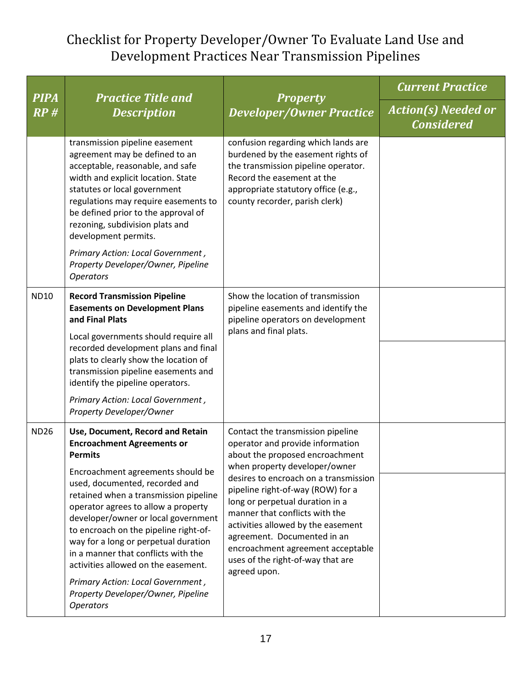| <b>PIPA</b> | <b>Practice Title and</b><br><b>Description</b>                                                                                                                                                                                                                                                                                                                                                                                                                                                                                                     | <b>Property</b><br><b>Developer/Owner Practice</b>                                                                                                                                                                                                                                                                                                                                                                                                          | <b>Current Practice</b>                         |
|-------------|-----------------------------------------------------------------------------------------------------------------------------------------------------------------------------------------------------------------------------------------------------------------------------------------------------------------------------------------------------------------------------------------------------------------------------------------------------------------------------------------------------------------------------------------------------|-------------------------------------------------------------------------------------------------------------------------------------------------------------------------------------------------------------------------------------------------------------------------------------------------------------------------------------------------------------------------------------------------------------------------------------------------------------|-------------------------------------------------|
| RP#         |                                                                                                                                                                                                                                                                                                                                                                                                                                                                                                                                                     |                                                                                                                                                                                                                                                                                                                                                                                                                                                             | <b>Action(s) Needed or</b><br><b>Considered</b> |
|             | transmission pipeline easement<br>agreement may be defined to an<br>acceptable, reasonable, and safe<br>width and explicit location. State<br>statutes or local government<br>regulations may require easements to<br>be defined prior to the approval of<br>rezoning, subdivision plats and<br>development permits.<br>Primary Action: Local Government,<br>Property Developer/Owner, Pipeline<br><b>Operators</b>                                                                                                                                 | confusion regarding which lands are<br>burdened by the easement rights of<br>the transmission pipeline operator.<br>Record the easement at the<br>appropriate statutory office (e.g.,<br>county recorder, parish clerk)                                                                                                                                                                                                                                     |                                                 |
| <b>ND10</b> | <b>Record Transmission Pipeline</b><br><b>Easements on Development Plans</b><br>and Final Plats<br>Local governments should require all<br>recorded development plans and final<br>plats to clearly show the location of<br>transmission pipeline easements and<br>identify the pipeline operators.<br>Primary Action: Local Government,<br>Property Developer/Owner                                                                                                                                                                                | Show the location of transmission<br>pipeline easements and identify the<br>pipeline operators on development<br>plans and final plats.                                                                                                                                                                                                                                                                                                                     |                                                 |
| <b>ND26</b> | Use, Document, Record and Retain<br><b>Encroachment Agreements or</b><br><b>Permits</b><br>Encroachment agreements should be<br>used, documented, recorded and<br>retained when a transmission pipeline<br>operator agrees to allow a property<br>developer/owner or local government<br>to encroach on the pipeline right-of-<br>way for a long or perpetual duration<br>in a manner that conflicts with the<br>activities allowed on the easement.<br>Primary Action: Local Government,<br>Property Developer/Owner, Pipeline<br><b>Operators</b> | Contact the transmission pipeline<br>operator and provide information<br>about the proposed encroachment<br>when property developer/owner<br>desires to encroach on a transmission<br>pipeline right-of-way (ROW) for a<br>long or perpetual duration in a<br>manner that conflicts with the<br>activities allowed by the easement<br>agreement. Documented in an<br>encroachment agreement acceptable<br>uses of the right-of-way that are<br>agreed upon. |                                                 |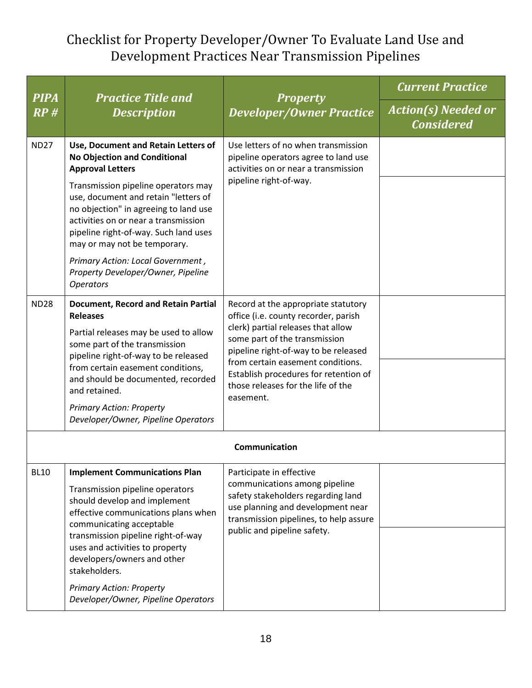|               | <b>Practice Title and</b><br><b>PIPA</b><br><b>Property</b><br><b>Description</b>                                                                                                                                                                                                                                                      |                                                                                                                                                                                                               | <b>Current Practice</b>                         |
|---------------|----------------------------------------------------------------------------------------------------------------------------------------------------------------------------------------------------------------------------------------------------------------------------------------------------------------------------------------|---------------------------------------------------------------------------------------------------------------------------------------------------------------------------------------------------------------|-------------------------------------------------|
| RP#           |                                                                                                                                                                                                                                                                                                                                        | <b>Developer/Owner Practice</b>                                                                                                                                                                               | <b>Action(s) Needed or</b><br><b>Considered</b> |
| <b>ND27</b>   | Use, Document and Retain Letters of<br><b>No Objection and Conditional</b><br><b>Approval Letters</b>                                                                                                                                                                                                                                  | Use letters of no when transmission<br>pipeline operators agree to land use<br>activities on or near a transmission<br>pipeline right-of-way.                                                                 |                                                 |
|               | Transmission pipeline operators may<br>use, document and retain "letters of<br>no objection" in agreeing to land use<br>activities on or near a transmission<br>pipeline right-of-way. Such land uses<br>may or may not be temporary.                                                                                                  |                                                                                                                                                                                                               |                                                 |
|               | Primary Action: Local Government,<br>Property Developer/Owner, Pipeline<br><b>Operators</b>                                                                                                                                                                                                                                            |                                                                                                                                                                                                               |                                                 |
| <b>ND28</b>   | <b>Document, Record and Retain Partial</b><br><b>Releases</b>                                                                                                                                                                                                                                                                          | Record at the appropriate statutory<br>office (i.e. county recorder, parish<br>clerk) partial releases that allow                                                                                             |                                                 |
|               | Partial releases may be used to allow<br>some part of the transmission                                                                                                                                                                                                                                                                 | some part of the transmission<br>pipeline right-of-way to be released<br>from certain easement conditions.<br>Establish procedures for retention of<br>those releases for the life of the<br>easement.        |                                                 |
| and retained. | pipeline right-of-way to be released<br>from certain easement conditions,<br>and should be documented, recorded                                                                                                                                                                                                                        |                                                                                                                                                                                                               |                                                 |
|               | <b>Primary Action: Property</b><br>Developer/Owner, Pipeline Operators                                                                                                                                                                                                                                                                 |                                                                                                                                                                                                               |                                                 |
|               |                                                                                                                                                                                                                                                                                                                                        | Communication                                                                                                                                                                                                 |                                                 |
| <b>BL10</b>   | <b>Implement Communications Plan</b><br>Transmission pipeline operators<br>should develop and implement<br>effective communications plans when<br>communicating acceptable<br>transmission pipeline right-of-way<br>uses and activities to property<br>developers/owners and other<br>stakeholders.<br><b>Primary Action: Property</b> | Participate in effective<br>communications among pipeline<br>safety stakeholders regarding land<br>use planning and development near<br>transmission pipelines, to help assure<br>public and pipeline safety. |                                                 |
|               | Developer/Owner, Pipeline Operators                                                                                                                                                                                                                                                                                                    |                                                                                                                                                                                                               |                                                 |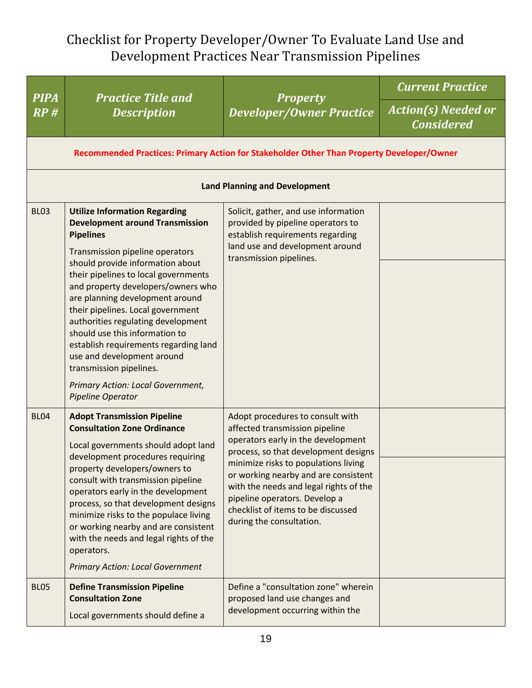| <b>PIPA</b> | <b>Practice Title and</b>                                                                                                                                                                                                                                                                                                                                                                                                                                                                                                                                           |                                                                                                                                                                                                                                                                                                                                                                               | <b>Current Practice</b>                         |
|-------------|---------------------------------------------------------------------------------------------------------------------------------------------------------------------------------------------------------------------------------------------------------------------------------------------------------------------------------------------------------------------------------------------------------------------------------------------------------------------------------------------------------------------------------------------------------------------|-------------------------------------------------------------------------------------------------------------------------------------------------------------------------------------------------------------------------------------------------------------------------------------------------------------------------------------------------------------------------------|-------------------------------------------------|
| RP#         | <b>Description</b>                                                                                                                                                                                                                                                                                                                                                                                                                                                                                                                                                  | <b>Property</b><br><b>Developer/Owner Practice</b>                                                                                                                                                                                                                                                                                                                            | <b>Action(s) Needed or</b><br><b>Considered</b> |
|             |                                                                                                                                                                                                                                                                                                                                                                                                                                                                                                                                                                     | Recommended Practices: Primary Action for Stakeholder Other Than Property Developer/Owner                                                                                                                                                                                                                                                                                     |                                                 |
|             |                                                                                                                                                                                                                                                                                                                                                                                                                                                                                                                                                                     | <b>Land Planning and Development</b>                                                                                                                                                                                                                                                                                                                                          |                                                 |
| <b>BL03</b> | <b>Utilize Information Regarding</b><br><b>Development around Transmission</b><br><b>Pipelines</b><br>Transmission pipeline operators<br>should provide information about<br>their pipelines to local governments<br>and property developers/owners who<br>are planning development around<br>their pipelines. Local government<br>authorities regulating development<br>should use this information to<br>establish requirements regarding land<br>use and development around<br>transmission pipelines.<br>Primary Action: Local Government,<br>Pipeline Operator | Solicit, gather, and use information<br>provided by pipeline operators to<br>establish requirements regarding<br>land use and development around<br>transmission pipelines.                                                                                                                                                                                                   |                                                 |
| <b>BL04</b> | <b>Adopt Transmission Pipeline</b><br><b>Consultation Zone Ordinance</b><br>Local governments should adopt land<br>development procedures requiring<br>property developers/owners to<br>consult with transmission pipeline<br>operators early in the development<br>process, so that development designs<br>minimize risks to the populace living<br>or working nearby and are consistent<br>with the needs and legal rights of the<br>operators.<br><b>Primary Action: Local Government</b>                                                                        | Adopt procedures to consult with<br>affected transmission pipeline<br>operators early in the development<br>process, so that development designs<br>minimize risks to populations living<br>or working nearby and are consistent<br>with the needs and legal rights of the<br>pipeline operators. Develop a<br>checklist of items to be discussed<br>during the consultation. |                                                 |
| <b>BL05</b> | <b>Define Transmission Pipeline</b><br><b>Consultation Zone</b><br>Local governments should define a                                                                                                                                                                                                                                                                                                                                                                                                                                                                | Define a "consultation zone" wherein<br>proposed land use changes and<br>development occurring within the                                                                                                                                                                                                                                                                     |                                                 |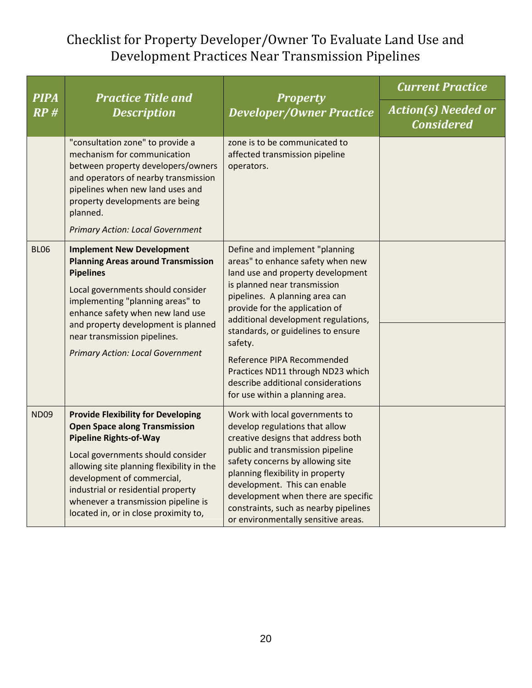| <b>PIPA</b> | <b>Practice Title and</b>                                                                                                                                                                                                                                                                                                                                | <b>Property</b><br><b>Developer/Owner Practice</b>                                                                                                                                                                                                                                                                                                                                                                                               | <b>Current Practice</b>                         |
|-------------|----------------------------------------------------------------------------------------------------------------------------------------------------------------------------------------------------------------------------------------------------------------------------------------------------------------------------------------------------------|--------------------------------------------------------------------------------------------------------------------------------------------------------------------------------------------------------------------------------------------------------------------------------------------------------------------------------------------------------------------------------------------------------------------------------------------------|-------------------------------------------------|
| RP#         | <b>Description</b>                                                                                                                                                                                                                                                                                                                                       |                                                                                                                                                                                                                                                                                                                                                                                                                                                  | <b>Action(s) Needed or</b><br><b>Considered</b> |
|             | "consultation zone" to provide a<br>mechanism for communication<br>between property developers/owners<br>and operators of nearby transmission<br>pipelines when new land uses and<br>property developments are being<br>planned.<br><b>Primary Action: Local Government</b>                                                                              | zone is to be communicated to<br>affected transmission pipeline<br>operators.                                                                                                                                                                                                                                                                                                                                                                    |                                                 |
| <b>BL06</b> | <b>Implement New Development</b><br><b>Planning Areas around Transmission</b><br><b>Pipelines</b><br>Local governments should consider<br>implementing "planning areas" to<br>enhance safety when new land use<br>and property development is planned<br>near transmission pipelines.<br><b>Primary Action: Local Government</b>                         | Define and implement "planning<br>areas" to enhance safety when new<br>land use and property development<br>is planned near transmission<br>pipelines. A planning area can<br>provide for the application of<br>additional development regulations,<br>standards, or guidelines to ensure<br>safety.<br>Reference PIPA Recommended<br>Practices ND11 through ND23 which<br>describe additional considerations<br>for use within a planning area. |                                                 |
| <b>ND09</b> | <b>Provide Flexibility for Developing</b><br><b>Open Space along Transmission</b><br><b>Pipeline Rights-of-Way</b><br>Local governments should consider<br>allowing site planning flexibility in the<br>development of commercial,<br>industrial or residential property<br>whenever a transmission pipeline is<br>located in, or in close proximity to, | Work with local governments to<br>develop regulations that allow<br>creative designs that address both<br>public and transmission pipeline<br>safety concerns by allowing site<br>planning flexibility in property<br>development. This can enable<br>development when there are specific<br>constraints, such as nearby pipelines<br>or environmentally sensitive areas.                                                                        |                                                 |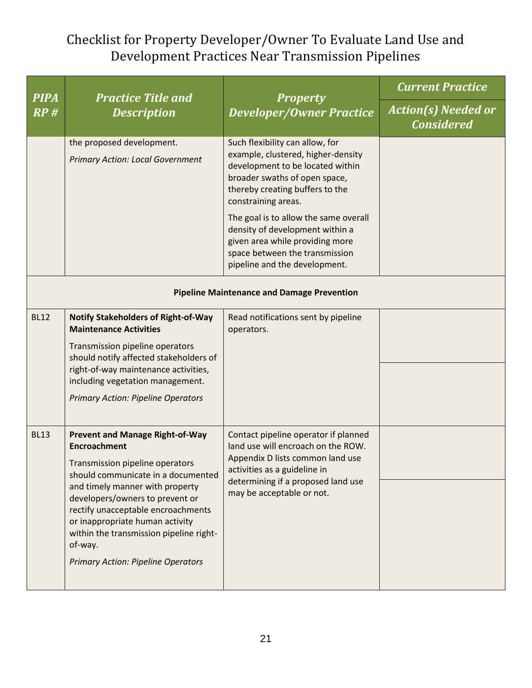| <b>PIPA</b> | <b>Practice Title and</b>                                                                                                                                                                                                                                                                                                                                                                |                                                                                                                                                                                                                   | <b>Current Practice</b>                         |  |  |
|-------------|------------------------------------------------------------------------------------------------------------------------------------------------------------------------------------------------------------------------------------------------------------------------------------------------------------------------------------------------------------------------------------------|-------------------------------------------------------------------------------------------------------------------------------------------------------------------------------------------------------------------|-------------------------------------------------|--|--|
| RP#         | <b>Description</b>                                                                                                                                                                                                                                                                                                                                                                       | <b>Property</b><br><b>Developer/Owner Practice</b>                                                                                                                                                                | <b>Action(s) Needed or</b><br><b>Considered</b> |  |  |
|             | the proposed development.<br><b>Primary Action: Local Government</b>                                                                                                                                                                                                                                                                                                                     | Such flexibility can allow, for<br>example, clustered, higher-density<br>development to be located within<br>broader swaths of open space,<br>thereby creating buffers to the<br>constraining areas.              |                                                 |  |  |
|             |                                                                                                                                                                                                                                                                                                                                                                                          | The goal is to allow the same overall<br>density of development within a<br>given area while providing more<br>space between the transmission<br>pipeline and the development.                                    |                                                 |  |  |
|             | <b>Pipeline Maintenance and Damage Prevention</b>                                                                                                                                                                                                                                                                                                                                        |                                                                                                                                                                                                                   |                                                 |  |  |
| <b>BL12</b> | <b>Notify Stakeholders of Right-of-Way</b><br><b>Maintenance Activities</b><br>Transmission pipeline operators<br>should notify affected stakeholders of<br>right-of-way maintenance activities,<br>including vegetation management.<br><b>Primary Action: Pipeline Operators</b>                                                                                                        | Read notifications sent by pipeline<br>operators.                                                                                                                                                                 |                                                 |  |  |
| <b>BL13</b> | <b>Prevent and Manage Right-of-Way</b><br><b>Encroachment</b><br>Transmission pipeline operators<br>should communicate in a documented<br>and timely manner with property<br>developers/owners to prevent or<br>rectify unacceptable encroachments<br>or inappropriate human activity<br>within the transmission pipeline right-<br>of-way.<br><b>Primary Action: Pipeline Operators</b> | Contact pipeline operator if planned<br>land use will encroach on the ROW.<br>Appendix D lists common land use<br>activities as a guideline in<br>determining if a proposed land use<br>may be acceptable or not. |                                                 |  |  |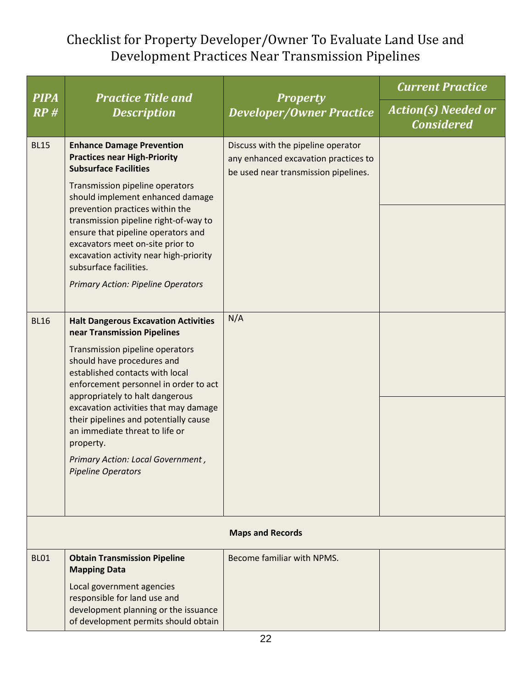| <b>PIPA</b> | <b>Practice Title and</b>                                                                                                                                                                                                                                                                                                                                                                                                                                     |                                                                                                                    | <b>Current Practice</b>                         |
|-------------|---------------------------------------------------------------------------------------------------------------------------------------------------------------------------------------------------------------------------------------------------------------------------------------------------------------------------------------------------------------------------------------------------------------------------------------------------------------|--------------------------------------------------------------------------------------------------------------------|-------------------------------------------------|
| RP#         | <b>Description</b>                                                                                                                                                                                                                                                                                                                                                                                                                                            | <b>Property</b><br><b>Developer/Owner Practice</b>                                                                 | <b>Action(s)</b> Needed or<br><b>Considered</b> |
| <b>BL15</b> | <b>Enhance Damage Prevention</b><br><b>Practices near High-Priority</b><br><b>Subsurface Facilities</b><br>Transmission pipeline operators<br>should implement enhanced damage<br>prevention practices within the<br>transmission pipeline right-of-way to<br>ensure that pipeline operators and<br>excavators meet on-site prior to<br>excavation activity near high-priority<br>subsurface facilities.<br><b>Primary Action: Pipeline Operators</b>         | Discuss with the pipeline operator<br>any enhanced excavation practices to<br>be used near transmission pipelines. |                                                 |
| <b>BL16</b> | <b>Halt Dangerous Excavation Activities</b><br>near Transmission Pipelines<br>Transmission pipeline operators<br>should have procedures and<br>established contacts with local<br>enforcement personnel in order to act<br>appropriately to halt dangerous<br>excavation activities that may damage<br>their pipelines and potentially cause<br>an immediate threat to life or<br>property.<br>Primary Action: Local Government,<br><b>Pipeline Operators</b> | N/A                                                                                                                |                                                 |
|             |                                                                                                                                                                                                                                                                                                                                                                                                                                                               | <b>Maps and Records</b>                                                                                            |                                                 |
| <b>BL01</b> | <b>Obtain Transmission Pipeline</b><br><b>Mapping Data</b><br>Local government agencies<br>responsible for land use and<br>development planning or the issuance<br>of development permits should obtain                                                                                                                                                                                                                                                       | Become familiar with NPMS.                                                                                         |                                                 |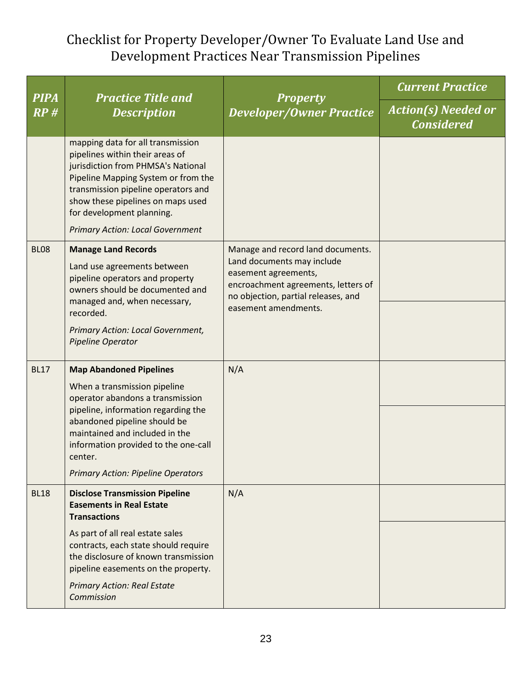| <b>PIPA</b> | <b>Practice Title and</b>                                                                                                                                                                                                                                                                             |                                                                                                                                                                       | <b>Current Practice</b>                         |
|-------------|-------------------------------------------------------------------------------------------------------------------------------------------------------------------------------------------------------------------------------------------------------------------------------------------------------|-----------------------------------------------------------------------------------------------------------------------------------------------------------------------|-------------------------------------------------|
| RP#         | <b>Description</b>                                                                                                                                                                                                                                                                                    | <b>Property</b><br><b>Developer/Owner Practice</b>                                                                                                                    | <b>Action(s) Needed or</b><br><b>Considered</b> |
|             | mapping data for all transmission<br>pipelines within their areas of<br>jurisdiction from PHMSA's National<br>Pipeline Mapping System or from the<br>transmission pipeline operators and<br>show these pipelines on maps used<br>for development planning.<br><b>Primary Action: Local Government</b> |                                                                                                                                                                       |                                                 |
| <b>BL08</b> | <b>Manage Land Records</b><br>Land use agreements between<br>pipeline operators and property<br>owners should be documented and<br>managed and, when necessary,                                                                                                                                       | Manage and record land documents.<br>Land documents may include<br>easement agreements,<br>encroachment agreements, letters of<br>no objection, partial releases, and |                                                 |
|             | recorded.<br>Primary Action: Local Government,<br>Pipeline Operator                                                                                                                                                                                                                                   | easement amendments.                                                                                                                                                  |                                                 |
| <b>BL17</b> | <b>Map Abandoned Pipelines</b><br>When a transmission pipeline<br>operator abandons a transmission                                                                                                                                                                                                    | N/A                                                                                                                                                                   |                                                 |
|             | pipeline, information regarding the<br>abandoned pipeline should be<br>maintained and included in the<br>information provided to the one-call<br>center.                                                                                                                                              |                                                                                                                                                                       |                                                 |
|             | <b>Primary Action: Pipeline Operators</b>                                                                                                                                                                                                                                                             |                                                                                                                                                                       |                                                 |
| <b>BL18</b> | <b>Disclose Transmission Pipeline</b><br><b>Easements in Real Estate</b><br><b>Transactions</b>                                                                                                                                                                                                       | N/A                                                                                                                                                                   |                                                 |
|             | As part of all real estate sales<br>contracts, each state should require<br>the disclosure of known transmission<br>pipeline easements on the property.                                                                                                                                               |                                                                                                                                                                       |                                                 |
|             | <b>Primary Action: Real Estate</b><br>Commission                                                                                                                                                                                                                                                      |                                                                                                                                                                       |                                                 |